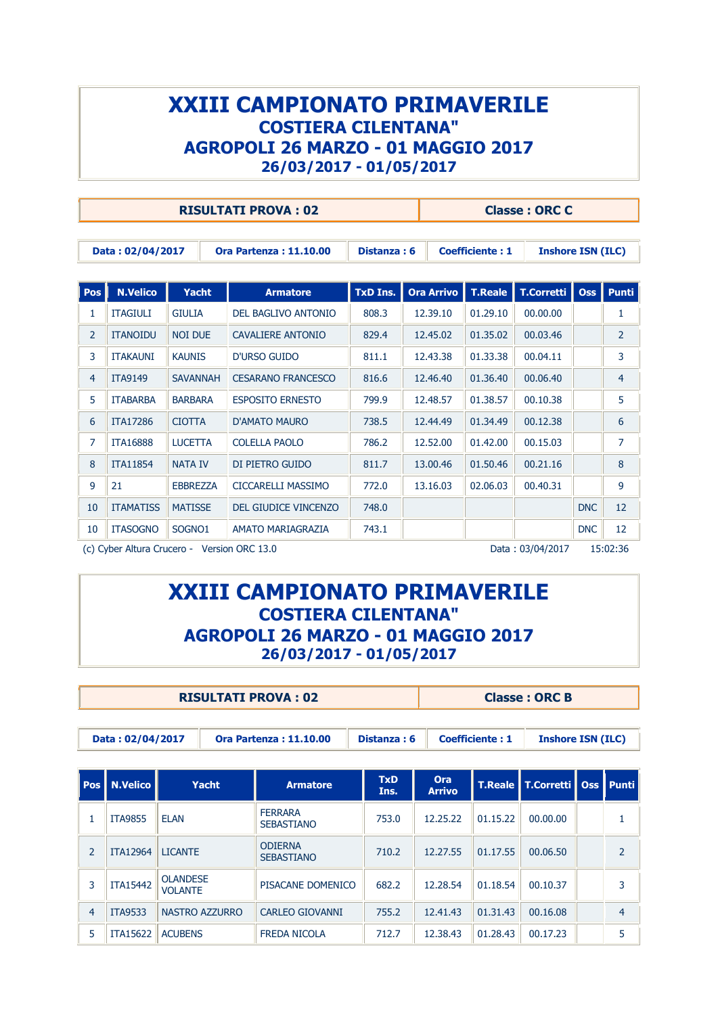#### **XXIII CAMPIONATO PRIMAVERILE COSTIERA CILENTANA" AGROPOLI 26 MARZO - 01 MAGGIO 2017 26/03/2017 - 01/05/2017**

**RISULTATI PROVA : 02 Classe : ORC C Data : 02/04/2017 Ora Partenza : 11.10.00 Distanza : 6 Coefficiente : 1 Inshore ISN (ILC) Pos N.Velico Yacht Armatore TxD Ins. Ora Arrivo T.Reale T.Corretti Oss Punti** 1 | ITAGIULI | GIULIA | DEL BAGLIVO ANTONIO | 808.3 | 12.39.10 | 01.29.10 | 00.00.00 | | 1 2 ITANOIDU NOI DUE CAVALIERE ANTONIO 829.4 12.45.02 01.35.02 00.03.46 2 3 | ITAKAUNI | KAUNIS | D'URSO GUIDO | 811.1 | 12.43.38 | 01.33.38 | 00.04.11 | 3 4 ITA9149 SAVANNAH CESARANO FRANCESCO 816.6 12.46.40 01.36.40 00.06.40 4 5 | ITABARBA | BARBARA | ESPOSITO ERNESTO | 799.9 | 12.48.57 | 01.38.57 | 00.10.38 | 5 6 ITA17286 CIOTTA D'AMATO MAURO 738.5 12.44.49 01.34.49 00.12.38 6 7 ITA16888 LUCETTA COLELLA PAOLO 786.2 12.52.00 01.42.00 00.15.03 7 8 | 1TA11854 NATA IV | DI PIETRO GUIDO | 811.7 | 13.00.46 | 01.50.46 | 00.21.16 | 8 9 21 EBBREZZA CICCARELLI MASSIMO 772.0 13.16.03 02.06.03 00.40.31 9 10 ITAMATISS MATISSE DEL GIUDICE VINCENZO 748.0 | POLICE 12 10 ITASOGNO SOGNO1 AMATO MARIAGRAZIA 743.1 DNC 12 (c) Cyber Altura Crucero - Version ORC 13.0 XF6Y-GHIJ Data : 03/04/2017 15:02:36

#### **XXIII CAMPIONATO PRIMAVERILE COSTIERA CILENTANA" AGROPOLI 26 MARZO - 01 MAGGIO 2017 26/03/2017 - 01/05/2017**

**RISULTATI PROVA : 02 Classe : ORC B Data : 02/04/2017 Ora Partenza : 11.10.00 Distanza : 6 Coefficiente : 1 Inshore ISN (ILC) Pos N.Velico Yacht Armatore TxD Ins. Ora Arrivo T.Reale T.Corretti Oss Punti** 1 ITA9855 ELAN FERRARA FERRARA<br>SEBASTIANO 753.0 12.25.22 01.15.22 00.00.00 1 2 | ITA12964 | LICANTE | ODIERNA SEBASTIANO 710.2 12.27.55 01.17.55 00.06.50 2 3 | ITA15442 | OLANDESE PISACANE DOMENICO | 682.2 | 12.28.54 01.18.54 00.10.37 | 3 4 | ITA9533 | NASTRO AZZURRO | CARLEO GIOVANNI | 1755.2 | 12.41.43 | 01.31.43 | 00.16.08 | 4 5 | ITA15622 | ACUBENS | FREDA NICOLA | 712.7 | 12.38.43 | 01.28.43 | 00.17.23 | 5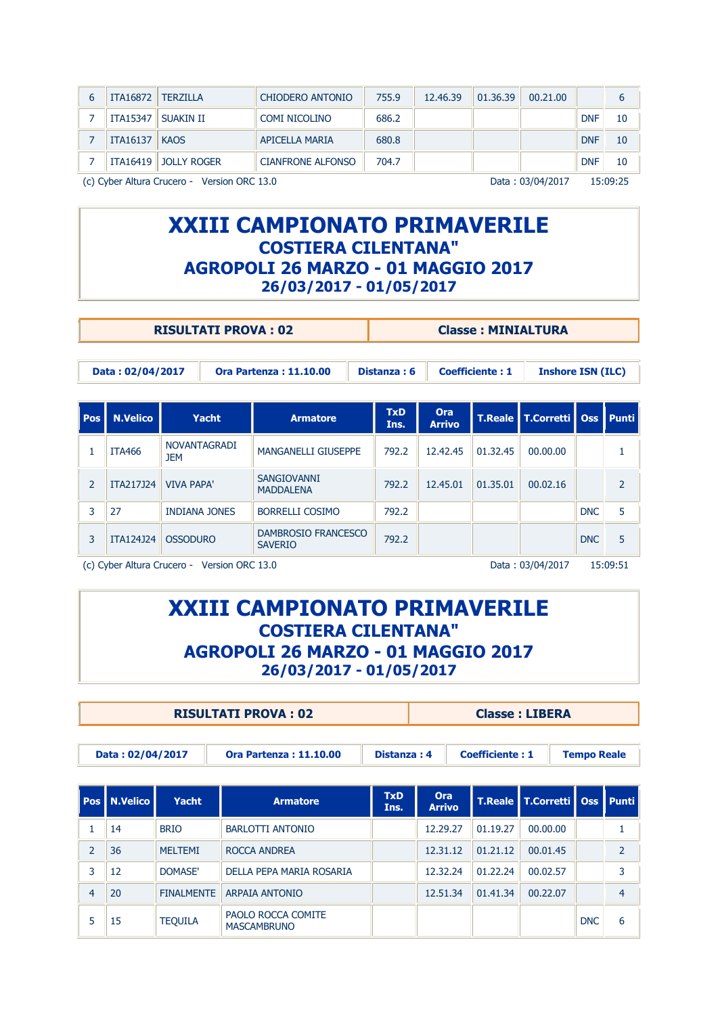| ITA16872   TERZILLA |                      | CHIODERO ANTONIO         | 755.9 | 12.46.39 | 01.36.39 | 00.21.00 |            |    |
|---------------------|----------------------|--------------------------|-------|----------|----------|----------|------------|----|
| ITA15347            | i suakin II          | <b>COMI NICOLINO</b>     | 686.2 |          |          |          | <b>DNF</b> | 10 |
| <b>ITA16137</b>     | <b>KAOS</b>          | APICELLA MARIA           | 680.8 |          |          |          | <b>DNF</b> | 10 |
|                     | ITA16419 JOLLY ROGER | <b>CIANFRONE ALFONSO</b> | 704.7 |          |          |          | <b>DNF</b> | 10 |

(c) Cyber Altura Crucero - Version ORC 13.0 XF6Y-GHIJ Data : 03/04/2017 15:09:25

# **XXIII CAMPIONATO PRIMAVERILE COSTIERA CILENTANA" AGROPOLI 26 MARZO - 01 MAGGIO 2017 26/03/2017 - 01/05/2017**

|                  | <b>RISULTATI PROVA: 02</b>    |             | <b>Classe: MINIALTURA</b> |                          |  |  |  |  |
|------------------|-------------------------------|-------------|---------------------------|--------------------------|--|--|--|--|
|                  |                               |             |                           |                          |  |  |  |  |
| Data: 02/04/2017 | <b>Ora Partenza: 11.10.00</b> | Distanza: 6 | <b>Coefficiente: 1</b>    | <b>Inshore ISN (ILC)</b> |  |  |  |  |
|                  |                               |             |                           |                          |  |  |  |  |

| <b>Pos</b> | <b>N.Velico</b>                             | Yacht                             | <b>Armatore</b>                        | <b>TxD</b><br>Ins. | Ora<br><b>Arrivo</b> |          | <b>T.Reale   T.Corretti   Oss   Punti  </b> |            |                          |
|------------|---------------------------------------------|-----------------------------------|----------------------------------------|--------------------|----------------------|----------|---------------------------------------------|------------|--------------------------|
|            | <b>ITA466</b>                               | <b>NOVANTAGRADI</b><br><b>JEM</b> | <b>MANGANELLI GIUSEPPE</b>             | 792.2              | 12.42.45             | 01.32.45 | 00.00.00                                    |            |                          |
| 2          | ITA217J24                                   | <b>VIVA PAPA'</b>                 | <b>SANGIOVANNI</b><br><b>MADDALENA</b> | 792.2              | 12.45.01             | 01.35.01 | 00.02.16                                    |            | $\overline{\phantom{a}}$ |
| 3          | 27                                          | INDIANA JONES                     | <b>BORRELLI COSIMO</b>                 | 792.2              |                      |          |                                             | <b>DNC</b> | 5                        |
| 3          | <b>ITA124J24</b>                            | <b>OSSODURO</b>                   | DAMBROSIO FRANCESCO<br><b>SAVERIO</b>  | 792.2              |                      |          |                                             | <b>DNC</b> | 5                        |
|            | (c) Cyber Altura Crucero - Version ORC 13.0 |                                   |                                        |                    |                      |          | Data: 03/04/2017                            |            | 15:09:51                 |

# **XXIII CAMPIONATO PRIMAVERILE COSTIERA CILENTANA" AGROPOLI 26 MARZO - 01 MAGGIO 2017 26/03/2017 - 01/05/2017**

| <b>RISULTATI PROVA: 02</b> | <b>Classe: LIBERA</b> |
|----------------------------|-----------------------|
|                            |                       |

|                | <b>Pos   N.Velico  </b> | Yacht             | Armatore                                 | <b>TxD</b><br>Ins. | Ora<br><b>Arrivo</b> |          | T.Reale   T.Corretti   Oss   Punti |            |                          |
|----------------|-------------------------|-------------------|------------------------------------------|--------------------|----------------------|----------|------------------------------------|------------|--------------------------|
|                | 14                      | <b>BRIO</b>       | BARLOTTI ANTONIO                         |                    | 12.29.27             | 01.19.27 | 00.00.00                           |            |                          |
| $\overline{2}$ | 36                      | MELTEMI           | ROCCA ANDREA                             |                    | 12.31.12             | 01.21.12 | 00.01.45                           |            | $\overline{\phantom{a}}$ |
| 3              | 12                      | DOMASE'           | DELLA PEPA MARIA ROSARIA                 |                    | 12.32.24             | 01.22.24 | 00.02.57                           |            | 3                        |
| 4              | 20                      | <b>FINALMENTE</b> | ARPAIA ANTONIO                           |                    | 12.51.34             | 01.41.34 | 00.22.07                           |            | 4                        |
|                | 15                      | <b>TEQUILA</b>    | PAOLO ROCCA COMITE<br><b>MASCAMBRUNO</b> |                    |                      |          |                                    | <b>DNC</b> | 6                        |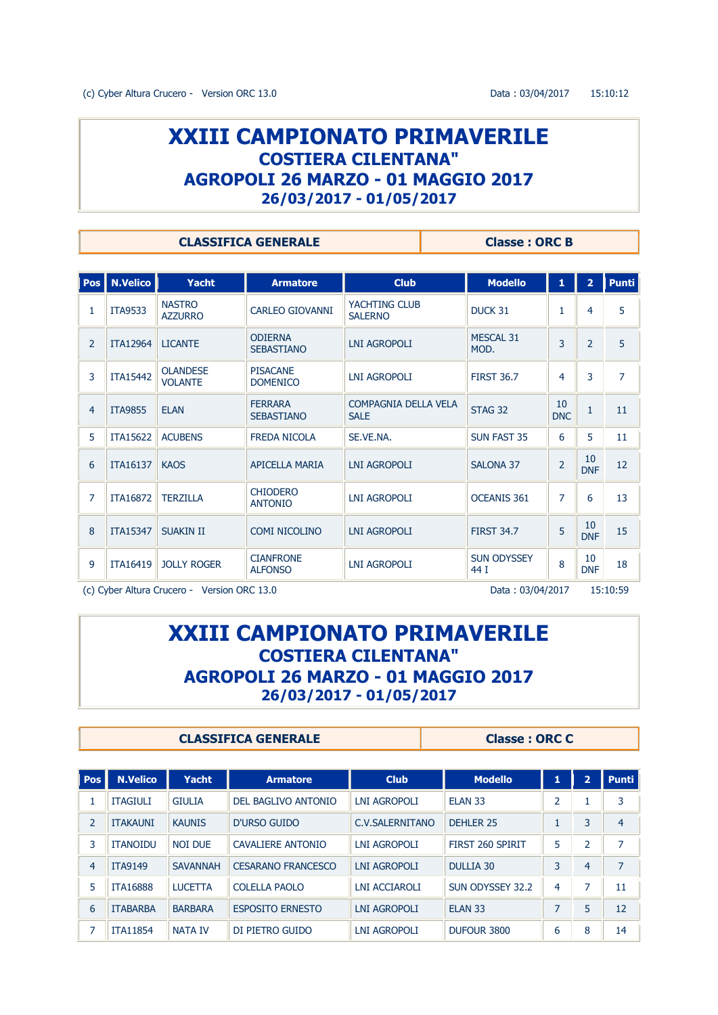# **XXIII CAMPIONATO PRIMAVERILE COSTIERA CILENTANA" AGROPOLI 26 MARZO - 01 MAGGIO 2017 26/03/2017 - 01/05/2017**

**CLASSIFICA GENERALE Classe : ORC B** 

| Pos <sup>T</sup> | <b>N.Velico</b> | <b>Yacht</b>                      | <b>Armatore</b>                     | <b>Club</b>                         | <b>Modello</b>             | 1                | $\overline{2}$   | <b>Punti</b>   |
|------------------|-----------------|-----------------------------------|-------------------------------------|-------------------------------------|----------------------------|------------------|------------------|----------------|
| 1                | <b>ITA9533</b>  | <b>NASTRO</b><br><b>AZZURRO</b>   | <b>CARLEO GIOVANNI</b>              | YACHTING CLUB<br><b>SALERNO</b>     | DUCK 31                    | 1                | 4                | 5              |
| 2                | <b>ITA12964</b> | <b>LICANTE</b>                    | <b>ODIFRNA</b><br><b>SEBASTIANO</b> | <b>LNI AGROPOLI</b>                 | MESCAL 31<br>MOD.          | 3                | $\overline{2}$   | 5              |
| 3                | <b>ITA15442</b> | <b>OLANDESE</b><br><b>VOLANTE</b> | <b>PISACANE</b><br><b>DOMENICO</b>  | <b>LNI AGROPOLI</b>                 | <b>FIRST 36.7</b>          | 4                | 3                | $\overline{7}$ |
| $\overline{4}$   | <b>ITA9855</b>  | <b>ELAN</b>                       | <b>FERRARA</b><br><b>SEBASTIANO</b> | COMPAGNIA DELLA VELA<br><b>SALE</b> | STAG 32                    | 10<br><b>DNC</b> | 1                | 11             |
| 5                | <b>ITA15622</b> | <b>ACUBENS</b>                    | <b>FREDA NICOLA</b>                 | SF VF NA.                           | <b>SUN FAST 35</b>         | 6                | 5                | 11             |
| 6                | <b>ITA16137</b> | <b>KAOS</b>                       | <b>APICELLA MARIA</b>               | <b>LNI AGROPOLI</b>                 | <b>SALONA 37</b>           | $\overline{2}$   | 10<br><b>DNF</b> | 12             |
| $\overline{7}$   | <b>ITA16872</b> | <b>TFR7ILLA</b>                   | <b>CHIODERO</b><br><b>ANTONIO</b>   | <b>LNI AGROPOLI</b>                 | <b>OCEANIS 361</b>         | $\overline{7}$   | 6                | 13             |
| 8                | <b>ITA15347</b> | <b>SUAKIN II</b>                  | <b>COMI NICOLINO</b>                | LNI AGROPOLI                        | <b>FIRST 34.7</b>          | 5                | 10<br><b>DNF</b> | 15             |
| 9                | <b>ITA16419</b> | <b>JOLLY ROGER</b>                | <b>CIANFRONE</b><br><b>ALFONSO</b>  | <b>LNI AGROPOLI</b>                 | <b>SUN ODYSSEY</b><br>44 I | 8                | 10<br><b>DNF</b> | 18             |

(c) Cyber Altura Crucero - Version ORC 13.0 Data : 03/04/2017 15:10:59

# **XXIII CAMPIONATO PRIMAVERILE COSTIERA CILENTANA" AGROPOLI 26 MARZO - 01 MAGGIO 2017 26/03/2017 - 01/05/2017**

**CLASSIFICA GENERALE** Classe : ORC C

| Pos            | <b>N.Velico</b> | <b>Yacht</b>    | <b>Armatore</b>           | <b>Club</b>     | <b>Modello</b>       | 1 | $\mathbf{2}^{\prime}$ | <b>Punti</b>   |
|----------------|-----------------|-----------------|---------------------------|-----------------|----------------------|---|-----------------------|----------------|
|                | <b>ITAGIULI</b> | <b>GIULIA</b>   | DEL BAGLIVO ANTONIO       | LNI AGROPOLI    | ELAN <sub>33</sub>   | 2 |                       | 3              |
| $\overline{2}$ | <b>ITAKAUNI</b> | <b>KAUNIS</b>   | D'URSO GUIDO              | C.V.SALERNITANO | DFHIFR <sub>25</sub> |   | 3                     | $\overline{4}$ |
| 3              | <b>ITANOIDU</b> | <b>NOI DUE</b>  | CAVALIERE ANTONIO         | LNI AGROPOLI    | FIRST 260 SPIRIT     | 5 | $\overline{2}$        | 7              |
| 4              | <b>ITA9149</b>  | <b>SAVANNAH</b> | <b>CESARANO FRANCESCO</b> | LNI AGROPOLI    | <b>DULLIA 30</b>     | 3 | 4                     | 7              |
| 5              | <b>ITA16888</b> | <b>IUCETTA</b>  | <b>COLELLA PAOLO</b>      | LNI ACCIAROLI   | SUN ODYSSEY 32.2     | 4 | 7                     | 11             |
| 6              | <b>TTABARBA</b> | <b>BARBARA</b>  | <b>ESPOSITO ERNESTO</b>   | LNI AGROPOLI    | ELAN <sub>33</sub>   | 7 | 5                     | 12             |
|                | <b>ITA11854</b> | <b>NATA IV</b>  | DI PIETRO GUIDO           | LNI AGROPOLI    | DUFOUR 3800          | 6 | 8                     | 14             |